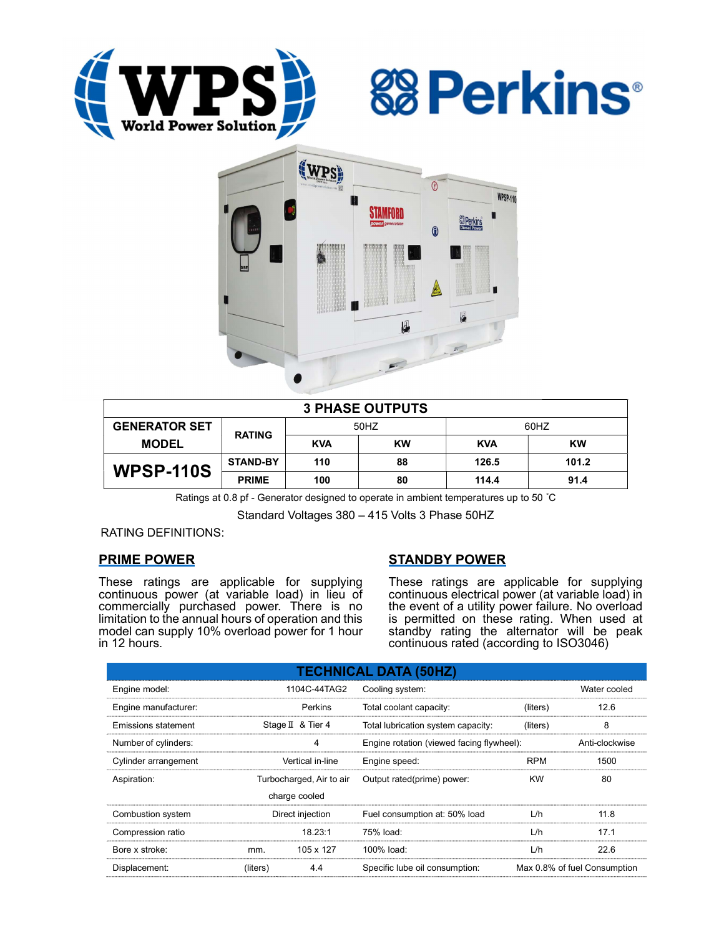





| <b>3 PHASE OUTPUTS</b> |                 |            |           |            |       |  |  |  |
|------------------------|-----------------|------------|-----------|------------|-------|--|--|--|
| <b>GENERATOR SET</b>   | <b>RATING</b>   | 50HZ       |           | 60HZ       |       |  |  |  |
| <b>MODEL</b>           |                 | <b>KVA</b> | <b>KW</b> | <b>KVA</b> | KW    |  |  |  |
| <b>WPSP-110S</b>       | <b>STAND-BY</b> | 110        | 88        | 126.5      | 101.2 |  |  |  |
|                        | <b>PRIME</b>    | 100        | 80        | 114.4      | 91.4  |  |  |  |

Ratings at 0.8 pf - Generator designed to operate in ambient temperatures up to 50 °C

Standard Voltages 380 – 415 Volts 3 Phase 50HZ

RATING DEFINITIONS:

# PRIME POWER

These ratings are applicable for supplying continuous power (at variable load) in lieu of commercially purchased power. There is no limitation to the annual hours of operation and this model can supply 10% overload power for 1 hour in 12 hours.

# STANDBY POWER

These ratings are applicable for supplying continuous electrical power (at variable load) in the event of a utility power failure. No overload is permitted on these rating. When used at standby rating the alternator will be peak continuous rated (according to ISO3046)

| <b>TECHNICAL DATA (50HZ)</b> |                          |                   |                                           |                              |      |  |  |  |  |  |
|------------------------------|--------------------------|-------------------|-------------------------------------------|------------------------------|------|--|--|--|--|--|
| Engine model:                |                          | 1104C-44TAG2      | Cooling system:                           | Water cooled                 |      |  |  |  |  |  |
| Engine manufacturer:         |                          | Perkins           | Total coolant capacity:<br>(liters)       |                              | 12.6 |  |  |  |  |  |
| Emissions statement          |                          | Stage II & Tier 4 | Total lubrication system capacity:        | (liters)                     | 8    |  |  |  |  |  |
| Number of cylinders:         |                          | 4                 | Engine rotation (viewed facing flywheel): | Anti-clockwise               |      |  |  |  |  |  |
| Cylinder arrangement         |                          | Vertical in-line  | Engine speed:                             | <b>RPM</b>                   | 1500 |  |  |  |  |  |
| Aspiration:                  | Turbocharged, Air to air |                   | Output rated(prime) power:                | <b>KW</b>                    | 80   |  |  |  |  |  |
|                              |                          | charge cooled     |                                           |                              |      |  |  |  |  |  |
| Combustion system            | Direct injection         |                   | Fuel consumption at: 50% load             | L/h                          | 11.8 |  |  |  |  |  |
| Compression ratio            |                          | 18.23:1           | 75% load:                                 | L/h                          | 17.1 |  |  |  |  |  |
| Bore x stroke:               | mm.                      | 105 x 127         | 100% load:                                | L/h                          | 22.6 |  |  |  |  |  |
| Displacement:                | (liters)                 | 4.4               | Specific lube oil consumption:            | Max 0.8% of fuel Consumption |      |  |  |  |  |  |